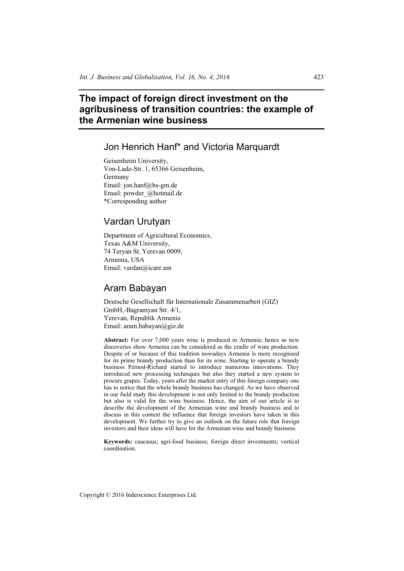# **The impact of foreign direct investment on the agribusiness of transition countries: the example of the Armenian wine business**

# Jon Henrich Hanf\* and Victoria Marquardt

Geisenheim University, Von-Lade-Str. 1, 65366 Geisenheim, Germany Email: jon.hanf@hs-gm.de Email: powder\_@hotmail.de \*Corresponding author

## Vardan Urutyan

Department of Agricultural Economics, Texas A&M University, 74 Teryan St. Yerevan 0009, Armenia, USA Email: vardan@icare.am

## Aram Babayan

Deutsche Gesellschaft für Internationale Zusammenarbeit (GIZ) GmbH,-Bagramyan Str. 4/1, Yerevan, Republik Armenia Email: aram.babayan@giz.de

**Abstract:** For over 7,000 years wine is produced in Armenia; hence as new discoveries show Armenia can be considered as the cradle of wine production. Despite of or because of this tradition nowadays Armenia is more recognised for its prime brandy production than for its wine. Starting to operate a brandy business Pernod-Richard started to introduce numerous innovations. They introduced new processing techniques but also they started a new system to procure grapes. Today, years after the market entry of this foreign company one has to notice that the whole brandy business has changed. As we have observed in our field study this development is not only limited to the brandy production but also is valid for the wine business. Hence, the aim of our article is to describe the development of the Armenian wine and brandy business and to discuss in this context the influence that foreign investors have taken in this development. We further try to give an outlook on the future role that foreign investors and their ideas will have for the Armenian wine and brandy business.

**Keywords:** caucasus; agri-food business; foreign direct investments; vertical coordination.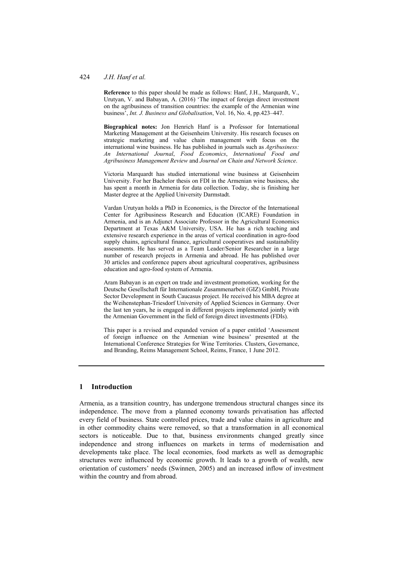**Reference** to this paper should be made as follows: Hanf, J.H., Marquardt, V., Urutyan, V. and Babayan, A. (2016) 'The impact of foreign direct investment on the agribusiness of transition countries: the example of the Armenian wine business', *Int. J. Business and Globalisation*, Vol. 16, No. 4, pp.423–447.

**Biographical notes:** Jon Henrich Hanf is a Professor for International Marketing Management at the Geisenheim University. His research focuses on strategic marketing and value chain management with focus on the international wine business. He has published in journals such as *Agribusiness: An International Journal*, *Food Economics*, *International Food and Agribusiness Management Review* and *Journal on Chain and Network Science*.

Victoria Marquardt has studied international wine business at Geisenheim University. For her Bachelor thesis on FDI in the Armenian wine business, she has spent a month in Armenia for data collection. Today, she is finishing her Master degree at the Applied University Darmstadt.

Vardan Urutyan holds a PhD in Economics, is the Director of the International Center for Agribusiness Research and Education (ICARE) Foundation in Armenia, and is an Adjunct Associate Professor in the Agricultural Economics Department at Texas A&M University, USA. He has a rich teaching and extensive research experience in the areas of vertical coordination in agro-food supply chains, agricultural finance, agricultural cooperatives and sustainability assessments. He has served as a Team Leader/Senior Researcher in a large number of research projects in Armenia and abroad. He has published over 30 articles and conference papers about agricultural cooperatives, agribusiness education and agro-food system of Armenia.

Aram Babayan is an expert on trade and investment promotion, working for the Deutsche Gesellschaft für Internationale Zusammenarbeit (GIZ) GmbH, Private Sector Development in South Caucasus project. He received his MBA degree at the Weihenstephan-Triesdorf University of Applied Sciences in Germany. Over the last ten years, he is engaged in different projects implemented jointly with the Armenian Government in the field of foreign direct investments (FDIs).

This paper is a revised and expanded version of a paper entitled 'Assessment of foreign influence on the Armenian wine business' presented at the International Conference Strategies for Wine Territories. Clusters, Governance, and Branding, Reims Management School, Reims, France, 1 June 2012.

#### **1 Introduction**

Armenia, as a transition country, has undergone tremendous structural changes since its independence. The move from a planned economy towards privatisation has affected every field of business. State controlled prices, trade and value chains in agriculture and in other commodity chains were removed, so that a transformation in all economical sectors is noticeable. Due to that, business environments changed greatly since independence and strong influences on markets in terms of modernisation and developments take place. The local economies, food markets as well as demographic structures were influenced by economic growth. It leads to a growth of wealth, new orientation of customers' needs (Swinnen, 2005) and an increased inflow of investment within the country and from abroad.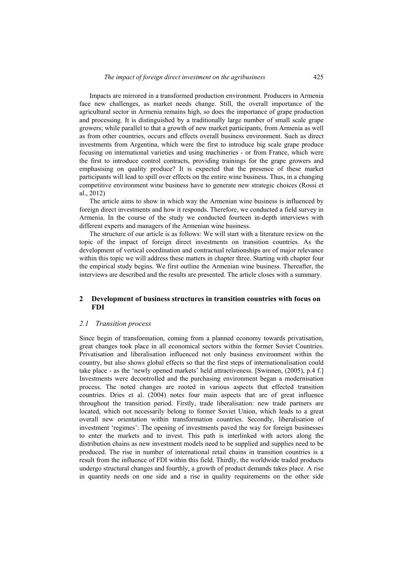Impacts are mirrored in a transformed production environment. Producers in Armenia face new challenges, as market needs change. Still, the overall importance of the agricultural sector in Armenia remains high, so does the importance of grape production and processing. It is distinguished by a traditionally large number of small scale grape growers; while parallel to that a growth of new market participants, from Armenia as well as from other countries, occurs and effects overall business environment. Such as direct investments from Argentina, which were the first to introduce big scale grape produce focusing on international varieties and using machineries - or from France, which were the first to introduce control contracts, providing trainings for the grape growers and emphasising on quality produce? It is expected that the presence of these market participants will lead to spill over effects on the entire wine business. Thus, in a changing competitive environment wine business have to generate new strategic choices (Rossi et al., 2012)

The article aims to show in which way the Armenian wine business is influenced by foreign direct investments and how it responds. Therefore, we conducted a field survey in Armenia. In the course of the study we conducted fourteen in-depth interviews with different experts and managers of the Armenian wine business.

The structure of our article is as follows: We will start with a literature review on the topic of the impact of foreign direct investments on transition countries. As the development of vertical coordination and contractual relationships are of major relevance within this topic we will address these matters in chapter three. Starting with chapter four the empirical study begins. We first outline the Armenian wine business. Thereafter, the interviews are described and the results are presented. The article closes with a summary.

## **2 Development of business structures in transition countries with focus on FDI**

## *2.1 Transition process*

Since begin of transformation, coming from a planned economy towards privatisation, great changes took place in all economical sectors within the former Soviet Countries. Privatisation and liberalisation influenced not only business environment within the country, but also shows global effects so that the first steps of internationalisation could take place - as the 'newly opened markets' held attractiveness. [Swinnen, (2005), p.4 f.] Investments were decontrolled and the purchasing environment began a modernisation process. The noted changes are rooted in various aspects that effected transition countries. Dries et al. (2004) notes four main aspects that are of great influence throughout the transition period. Firstly, trade liberalisation: new trade partners are located, which not necessarily belong to former Soviet Union, which leads to a great overall new orientation within transformation countries. Secondly, liberalisation of investment 'regimes': The opening of investments paved the way for foreign businesses to enter the markets and to invest. This path is interlinked with actors along the distribution chains as new investment models need to be supplied and supplies need to be produced. The rise in number of international retail chains in transition countries is a result from the influence of FDI within this field. Thirdly, the worldwide traded products undergo structural changes and fourthly, a growth of product demands takes place. A rise in quantity needs on one side and a rise in quality requirements on the other side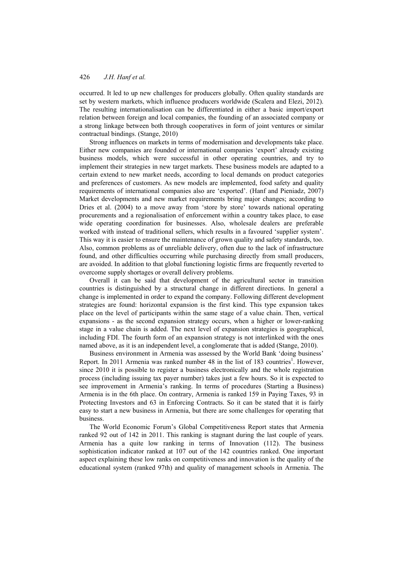occurred. It led to up new challenges for producers globally. Often quality standards are set by western markets, which influence producers worldwide (Scalera and Elezi, 2012). The resulting internationalisation can be differentiated in either a basic import/export relation between foreign and local companies, the founding of an associated company or a strong linkage between both through cooperatives in form of joint ventures or similar contractual bindings. (Stange, 2010)

Strong influences on markets in terms of modernisation and developments take place. Either new companies are founded or international companies 'export' already existing business models, which were successful in other operating countries, and try to implement their strategies in new target markets. These business models are adapted to a certain extend to new market needs, according to local demands on product categories and preferences of customers. As new models are implemented, food safety and quality requirements of international companies also are 'exported'. (Hanf and Pieniadz, 2007) Market developments and new market requirements bring major changes; according to Dries et al. (2004) to a move away from 'store by store' towards national operating procurements and a regionalisation of enforcement within a country takes place, to ease wide operating coordination for businesses. Also, wholesale dealers are preferable worked with instead of traditional sellers, which results in a favoured 'supplier system'. This way it is easier to ensure the maintenance of grown quality and safety standards, too. Also, common problems as of unreliable delivery, often due to the lack of infrastructure found, and other difficulties occurring while purchasing directly from small producers, are avoided. In addition to that global functioning logistic firms are frequently reverted to overcome supply shortages or overall delivery problems.

Overall it can be said that development of the agricultural sector in transition countries is distinguished by a structural change in different directions. In general a change is implemented in order to expand the company. Following different development strategies are found: horizontal expansion is the first kind. This type expansion takes place on the level of participants within the same stage of a value chain. Then, vertical expansions - as the second expansion strategy occurs, when a higher or lower-ranking stage in a value chain is added. The next level of expansion strategies is geographical, including FDI. The fourth form of an expansion strategy is not interlinked with the ones named above, as it is an independent level, a conglomerate that is added (Stange, 2010).

Business environment in Armenia was assessed by the World Bank 'doing business' Report. In 2011 Armenia was ranked number 48 in the list of 183 countries<sup>1</sup>. However, since 2010 it is possible to register a business electronically and the whole registration process (including issuing tax payer number) takes just a few hours. So it is expected to see improvement in Armenia's ranking. In terms of procedures (Starting a Business) Armenia is in the 6th place. On contrary, Armenia is ranked 159 in Paying Taxes, 93 in Protecting Investors and 63 in Enforcing Contracts. So it can be stated that it is fairly easy to start a new business in Armenia, but there are some challenges for operating that business.

The World Economic Forum's Global Competitiveness Report states that Armenia ranked 92 out of 142 in 2011. This ranking is stagnant during the last couple of years. Armenia has a quite low ranking in terms of Innovation (112). The business sophistication indicator ranked at 107 out of the 142 countries ranked. One important aspect explaining these low ranks on competitiveness and innovation is the quality of the educational system (ranked 97th) and quality of management schools in Armenia. The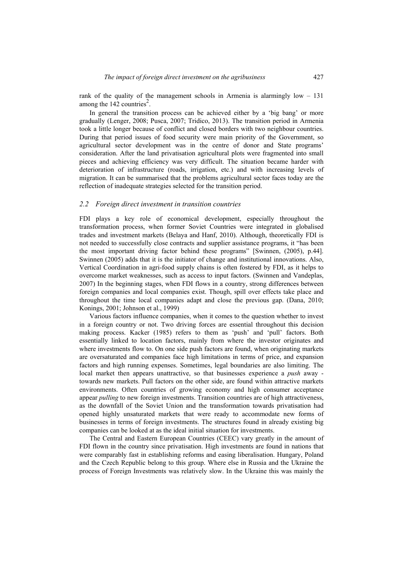rank of the quality of the management schools in Armenia is alarmingly low – 131 among the  $142$  countries<sup>2</sup>.

In general the transition process can be achieved either by a 'big bang' or more gradually (Lenger, 2008; Pusca, 2007; Tridico, 2013). The transition period in Armenia took a little longer because of conflict and closed borders with two neighbour countries. During that period issues of food security were main priority of the Government, so agricultural sector development was in the centre of donor and State programs' consideration. After the land privatisation agricultural plots were fragmented into small pieces and achieving efficiency was very difficult. The situation became harder with deterioration of infrastructure (roads, irrigation, etc.) and with increasing levels of migration. It can be summarised that the problems agricultural sector faces today are the reflection of inadequate strategies selected for the transition period.

#### *2.2 Foreign direct investment in transition countries*

FDI plays a key role of economical development, especially throughout the transformation process, when former Soviet Countries were integrated in globalised trades and investment markets (Belaya and Hanf, 2010). Although, theoretically FDI is not needed to successfully close contracts and supplier assistance programs, it "has been the most important driving factor behind these programs" [Swinnen, (2005), p.44]. Swinnen (2005) adds that it is the initiator of change and institutional innovations. Also, Vertical Coordination in agri-food supply chains is often fostered by FDI, as it helps to overcome market weaknesses, such as access to input factors. (Swinnen and Vandeplas, 2007) In the beginning stages, when FDI flows in a country, strong differences between foreign companies and local companies exist. Though, spill over effects take place and throughout the time local companies adapt and close the previous gap. (Dana, 2010; Konings, 2001; Johnson et al., 1999)

Various factors influence companies, when it comes to the question whether to invest in a foreign country or not. Two driving forces are essential throughout this decision making process. Kacker (1985) refers to them as 'push' and 'pull' factors. Both essentially linked to location factors, mainly from where the investor originates and where investments flow to. On one side push factors are found, when originating markets are oversaturated and companies face high limitations in terms of price, and expansion factors and high running expenses. Sometimes, legal boundaries are also limiting. The local market then appears unattractive, so that businesses experience a *push* away towards new markets. Pull factors on the other side, are found within attractive markets environments. Often countries of growing economy and high consumer acceptance appear *pulling* to new foreign investments. Transition countries are of high attractiveness, as the downfall of the Soviet Union and the transformation towards privatisation had opened highly unsaturated markets that were ready to accommodate new forms of businesses in terms of foreign investments. The structures found in already existing big companies can be looked at as the ideal initial situation for investments.

The Central and Eastern European Countries (CEEC) vary greatly in the amount of FDI flown in the country since privatisation. High investments are found in nations that were comparably fast in establishing reforms and easing liberalisation. Hungary, Poland and the Czech Republic belong to this group. Where else in Russia and the Ukraine the process of Foreign Investments was relatively slow. In the Ukraine this was mainly the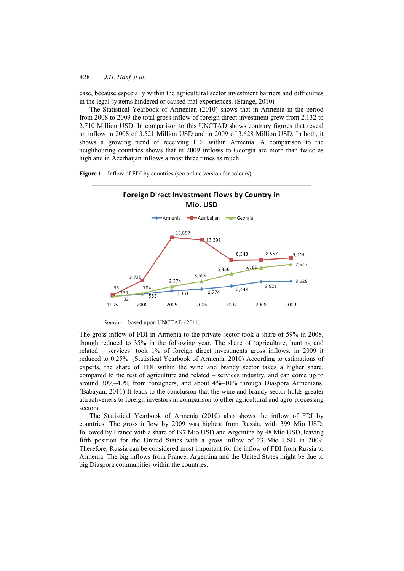case, because especially within the agricultural sector investment barriers and difficulties in the legal systems hindered or caused mal experiences. (Stange, 2010)

The Statistical Yearbook of Armenian (2010) shows that in Armenia in the period from 2008 to 2009 the total gross inflow of foreign direct investment grew from 2.132 to 2.710 Million USD. In comparison to this UNCTAD shows contrary figures that reveal an inflow in 2008 of 3.521 Million USD and in 2009 of 3.628 Million USD. In both, it shows a growing trend of receiving FDI within Armenia. A comparison to the neighbouring countries shows that in 2009 inflows to Georgia are more than twice as high and in Azerbaijan inflows almost three times as much.



Figure 1 Inflow of FDI by countries (see online version for colours)

*Source:* based upon UNCTAD (2011)

The gross inflow of FDI in Armenia to the private sector took a share of 59% in 2008, though reduced to 35% in the following year. The share of 'agriculture, hunting and related – services' took 1% of foreign direct investments gross inflows, in 2009 it reduced to 0.25%. (Statistical Yearbook of Armenia, 2010) According to estimations of experts, the share of FDI within the wine and brandy sector takes a higher share, compared to the rest of agriculture and related – services industry, and can come up to around 30%–40% from foreigners, and about 4%–10% through Diaspora Armenians. (Babayan, 2011) It leads to the conclusion that the wine and brandy sector holds greater attractiveness to foreign investors in comparison to other agricultural and agro-processing sectors.

The Statistical Yearbook of Armenia (2010) also shows the inflow of FDI by countries. The gross inflow by 2009 was highest from Russia, with 399 Mio USD, followed by France with a share of 197 Mio USD and Argentina by 48 Mio USD, leaving fifth position for the United States with a gross inflow of 23 Mio USD in 2009. Therefore, Russia can be considered most important for the inflow of FDI from Russia to Armenia. The big inflows from France, Argentina and the United States might be due to big Diaspora communities within the countries.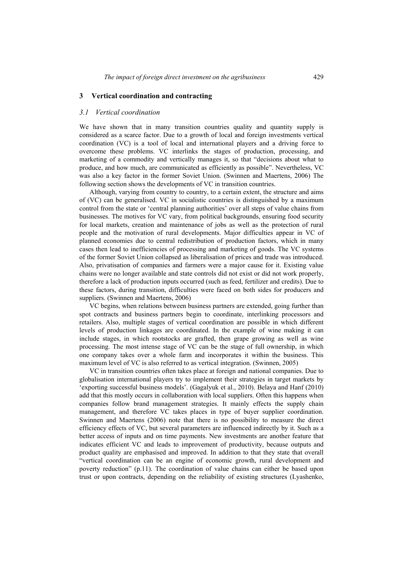#### **3 Vertical coordination and contracting**

#### *3.1 Vertical coordination*

We have shown that in many transition countries quality and quantity supply is considered as a scarce factor. Due to a growth of local and foreign investments vertical coordination (VC) is a tool of local and international players and a driving force to overcome these problems. VC interlinks the stages of production, processing, and marketing of a commodity and vertically manages it, so that "decisions about what to produce, and how much, are communicated as efficiently as possible". Nevertheless, VC was also a key factor in the former Soviet Union. (Swinnen and Maertens, 2006) The following section shows the developments of VC in transition countries.

Although, varying from country to country, to a certain extent, the structure and aims of (VC) can be generalised. VC in socialistic countries is distinguished by a maximum control from the state or 'central planning authorities' over all steps of value chains from businesses. The motives for VC vary, from political backgrounds, ensuring food security for local markets, creation and maintenance of jobs as well as the protection of rural people and the motivation of rural developments. Major difficulties appear in VC of planned economies due to central redistribution of production factors, which in many cases then lead to inefficiencies of processing and marketing of goods. The VC systems of the former Soviet Union collapsed as liberalisation of prices and trade was introduced. Also, privatisation of companies and farmers were a major cause for it. Existing value chains were no longer available and state controls did not exist or did not work properly, therefore a lack of production inputs occurred (such as feed, fertilizer and credits). Due to these factors, during transition, difficulties were faced on both sides for producers and suppliers. (Swinnen and Maertens, 2006)

VC begins, when relations between business partners are extended, going further than spot contracts and business partners begin to coordinate, interlinking processors and retailers. Also, multiple stages of vertical coordination are possible in which different levels of production linkages are coordinated. In the example of wine making it can include stages, in which rootstocks are grafted, then grape growing as well as wine processing. The most intense stage of VC can be the stage of full ownership, in which one company takes over a whole farm and incorporates it within the business. This maximum level of VC is also referred to as vertical integration. (Swinnen, 2005)

VC in transition countries often takes place at foreign and national companies. Due to globalisation international players try to implement their strategies in target markets by 'exporting successful business models'. (Gagalyuk et al., 2010). Belaya and Hanf (2010) add that this mostly occurs in collaboration with local suppliers. Often this happens when companies follow brand management strategies. It mainly effects the supply chain management, and therefore VC takes places in type of buyer supplier coordination. Swinnen and Maertens (2006) note that there is no possibility to measure the direct efficiency effects of VC, but several parameters are influenced indirectly by it. Such as a better access of inputs and on time payments. New investments are another feature that indicates efficient VC and leads to improvement of productivity, because outputs and product quality are emphasised and improved. In addition to that they state that overall "vertical coordination can be an engine of economic growth, rural development and poverty reduction" (p.11). The coordination of value chains can either be based upon trust or upon contracts, depending on the reliability of existing structures (Lyashenko,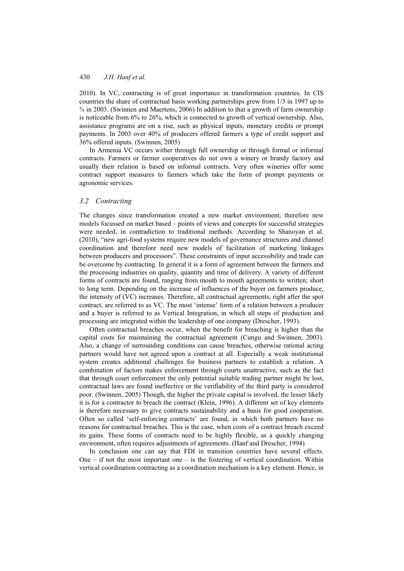2010). In VC, contracting is of great importance in transformation countries. In CIS countries the share of contractual basis working partnerships grew from 1/3 in 1997 up to ¾ in 2003. (Swinnen and Maertens, 2006) In addition to that a growth of farm ownership is noticeable from 6% to 26%, which is connected to growth of vertical ownership. Also, assistance programs are on a rise, such as physical inputs, monetary credits or prompt payments. In 2003 over 40% of producers offered farmers a type of credit support and 36% offered inputs. (Swinnen, 2005)

In Armenia VC occurs wither through full ownership or through formal or informal contracts. Farmers or farmer cooperatives do not own a winery or brandy factory and usually their relation is based on informal contracts. Very often wineries offer some contract support measures to farmers which take the form of prompt payments or agronomic services.

#### *3.2 Contracting*

The changes since transformation created a new market environment, therefore new models focussed on market based – points of views and concepts for successful strategies were needed, in contradiction to traditional methods. According to Shanoyan et al. (2010), "new agri-food systems require new models of governance structures and channel coordination and therefore need new models of facilitation of marketing linkages between producers and processors". These constraints of input accessibility and trade can be overcome by contracting. In general it is a form of agreement between the farmers and the processing industries on quality, quantity and time of delivery. A variety of different forms of contracts are found, ranging from mouth to mouth agreements to written; short to long term. Depending on the increase of influences of the buyer on farmers produce, the intensity of (VC) increases. Therefore, all contractual agreements, right after the spot contract, are referred to as VC. The most 'intense' form of a relation between a producer and a buyer is referred to as Vertical Integration, in which all steps of production and processing are integrated within the leadership of one company (Drescher, 1993).

Often contractual breaches occur, when the benefit for breaching is higher than the capital costs for maintaining the contractual agreement (Cungu and Swinnen, 2003). Also, a change of surrounding conditions can cause breaches, otherwise rational acting partners would have not agreed upon a contract at all. Especially a weak institutional system creates additional challenges for business partners to establish a relation. A combination of factors makes enforcement through courts unattractive, such as the fact that through court enforcement the only potential suitable trading partner might be lost, contractual laws are found ineffective or the verifiability of the third party is considered poor. (Swinnen, 2005) Though, the higher the private capital is involved, the lesser likely it is for a contractor to breach the contract (Klein, 1996). A different set of key elements is therefore necessary to give contracts sustainability and a basis for good cooperation. Often so called 'self-enforcing contracts' are found, in which both partners have no reasons for contractual breaches. This is the case, when costs of a contract breach exceed its gains. These forms of contracts need to be highly flexible, as a quickly changing environment, often requires adjustments of agreements. (Hanf and Drescher, 1994)

In conclusion one can say that FDI in transition countries have several effects. One – if not the most important one – is the fostering of vertical coordination. Within vertical coordination contracting as a coordination mechanism is a key element. Hence, in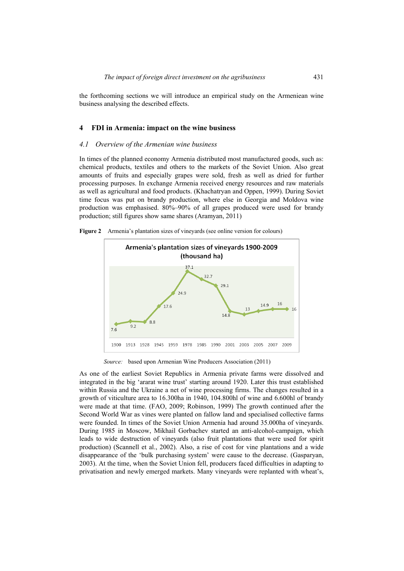the forthcoming sections we will introduce an empirical study on the Armeniean wine business analysing the described effects.

#### **4 FDI in Armenia: impact on the wine business**

#### *4.1 Overview of the Armenian wine business*

In times of the planned economy Armenia distributed most manufactured goods, such as: chemical products, textiles and others to the markets of the Soviet Union. Also great amounts of fruits and especially grapes were sold, fresh as well as dried for further processing purposes. In exchange Armenia received energy resources and raw materials as well as agricultural and food products. (Khachatryan and Oppen, 1999). During Soviet time focus was put on brandy production, where else in Georgia and Moldova wine production was emphasised. 80%–90% of all grapes produced were used for brandy production; still figures show same shares (Aramyan, 2011)

**Figure 2** Armenia's plantation sizes of vineyards (see online version for colours)



*Source:* based upon Armenian Wine Producers Association (2011)

As one of the earliest Soviet Republics in Armenia private farms were dissolved and integrated in the big 'ararat wine trust' starting around 1920. Later this trust established within Russia and the Ukraine a net of wine processing firms. The changes resulted in a growth of viticulture area to 16.300ha in 1940, 104.800hl of wine and 6.600hl of brandy were made at that time. (FAO, 2009; Robinson, 1999) The growth continued after the Second World War as vines were planted on fallow land and specialised collective farms were founded. In times of the Soviet Union Armenia had around 35.000ha of vineyards. During 1985 in Moscow, Mikhail Gorbachev started an anti-alcohol-campaign, which leads to wide destruction of vineyards (also fruit plantations that were used for spirit production) (Scannell et al., 2002). Also, a rise of cost for vine plantations and a wide disappearance of the 'bulk purchasing system' were cause to the decrease. (Gasparyan, 2003). At the time, when the Soviet Union fell, producers faced difficulties in adapting to privatisation and newly emerged markets. Many vineyards were replanted with wheat's,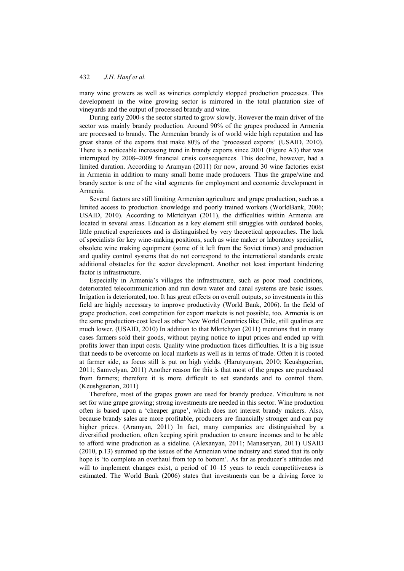many wine growers as well as wineries completely stopped production processes. This development in the wine growing sector is mirrored in the total plantation size of vineyards and the output of processed brandy and wine.

During early 2000-s the sector started to grow slowly. However the main driver of the sector was mainly brandy production. Around 90% of the grapes produced in Armenia are processed to brandy. The Armenian brandy is of world wide high reputation and has great shares of the exports that make 80% of the 'processed exports' (USAID, 2010). There is a noticeable increasing trend in brandy exports since 2001 (Figure A3) that was interrupted by 2008–2009 financial crisis consequences. This decline, however, had a limited duration. According to Aramyan (2011) for now, around 30 wine factories exist in Armenia in addition to many small home made producers. Thus the grape/wine and brandy sector is one of the vital segments for employment and economic development in Armenia.

Several factors are still limiting Armenian agriculture and grape production, such as a limited access to production knowledge and poorly trained workers (WorldBank, 2006; USAID, 2010). According to Mkrtchyan (2011), the difficulties within Armenia are located in several areas. Education as a key element still struggles with outdated books, little practical experiences and is distinguished by very theoretical approaches. The lack of specialists for key wine-making positions, such as wine maker or laboratory specialist, obsolete wine making equipment (some of it left from the Soviet times) and production and quality control systems that do not correspond to the international standards create additional obstacles for the sector development. Another not least important hindering factor is infrastructure.

Especially in Armenia's villages the infrastructure, such as poor road conditions, deteriorated telecommunication and run down water and canal systems are basic issues. Irrigation is deteriorated, too. It has great effects on overall outputs, so investments in this field are highly necessary to improve productivity (World Bank, 2006). In the field of grape production, cost competition for export markets is not possible, too. Armenia is on the same production-cost level as other New World Countries like Chile, still qualities are much lower. (USAID, 2010) In addition to that Mkrtchyan (2011) mentions that in many cases farmers sold their goods, without paying notice to input prices and ended up with profits lower than input costs. Quality wine production faces difficulties. It is a big issue that needs to be overcome on local markets as well as in terms of trade. Often it is rooted at farmer side, as focus still is put on high yields. (Harutyunyan, 2010; Keushguerian, 2011; Samvelyan, 2011) Another reason for this is that most of the grapes are purchased from farmers; therefore it is more difficult to set standards and to control them. (Keushguerian, 2011)

Therefore, most of the grapes grown are used for brandy produce. Viticulture is not set for wine grape growing; strong investments are needed in this sector. Wine production often is based upon a 'cheaper grape', which does not interest brandy makers. Also, because brandy sales are more profitable, producers are financially stronger and can pay higher prices. (Aramyan, 2011) In fact, many companies are distinguished by a diversified production, often keeping spirit production to ensure incomes and to be able to afford wine production as a sideline. (Alexanyan, 2011; Manaseryan, 2011) USAID (2010, p.13) summed up the issues of the Armenian wine industry and stated that its only hope is 'to complete an overhaul from top to bottom'. As far as producer's attitudes and will to implement changes exist, a period of 10–15 years to reach competitiveness is estimated. The World Bank (2006) states that investments can be a driving force to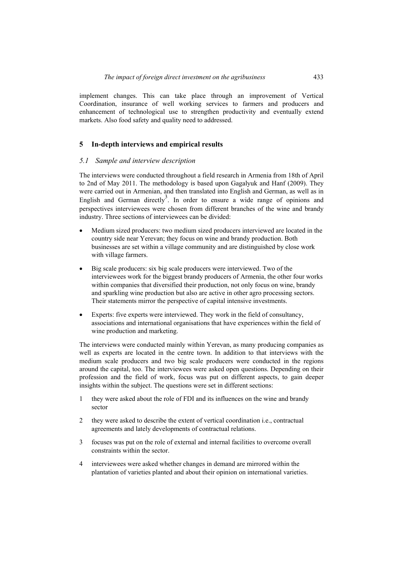implement changes. This can take place through an improvement of Vertical Coordination, insurance of well working services to farmers and producers and enhancement of technological use to strengthen productivity and eventually extend markets. Also food safety and quality need to addressed.

#### **5 In-depth interviews and empirical results**

#### *5.1 Sample and interview description*

The interviews were conducted throughout a field research in Armenia from 18th of April to 2nd of May 2011. The methodology is based upon Gagalyuk and Hanf (2009). They were carried out in Armenian, and then translated into English and German, as well as in English and German directly<sup>3</sup>. In order to ensure a wide range of opinions and perspectives interviewees were chosen from different branches of the wine and brandy industry. Three sections of interviewees can be divided:

- Medium sized producers: two medium sized producers interviewed are located in the country side near Yerevan; they focus on wine and brandy production. Both businesses are set within a village community and are distinguished by close work with village farmers.
- Big scale producers: six big scale producers were interviewed. Two of the interviewees work for the biggest brandy producers of Armenia, the other four works within companies that diversified their production, not only focus on wine, brandy and sparkling wine production but also are active in other agro processing sectors. Their statements mirror the perspective of capital intensive investments.
- Experts: five experts were interviewed. They work in the field of consultancy, associations and international organisations that have experiences within the field of wine production and marketing.

The interviews were conducted mainly within Yerevan, as many producing companies as well as experts are located in the centre town. In addition to that interviews with the medium scale producers and two big scale producers were conducted in the regions around the capital, too. The interviewees were asked open questions. Depending on their profession and the field of work, focus was put on different aspects, to gain deeper insights within the subject. The questions were set in different sections:

- 1 they were asked about the role of FDI and its influences on the wine and brandy sector
- 2 they were asked to describe the extent of vertical coordination i.e., contractual agreements and lately developments of contractual relations.
- 3 focuses was put on the role of external and internal facilities to overcome overall constraints within the sector.
- 4 interviewees were asked whether changes in demand are mirrored within the plantation of varieties planted and about their opinion on international varieties.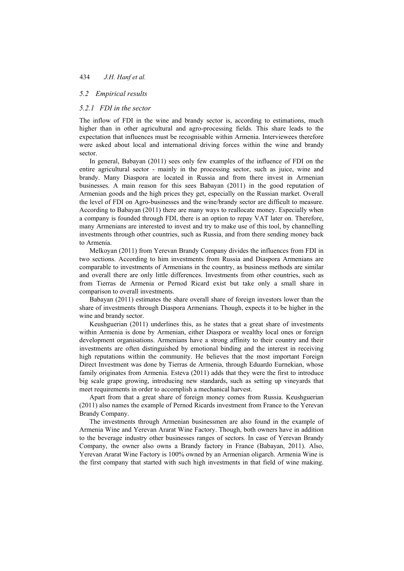#### *5.2 Empirical results*

## *5.2.1 FDI in the sector*

The inflow of FDI in the wine and brandy sector is, according to estimations, much higher than in other agricultural and agro-processing fields. This share leads to the expectation that influences must be recognisable within Armenia. Interviewees therefore were asked about local and international driving forces within the wine and brandy sector.

In general, Babayan (2011) sees only few examples of the influence of FDI on the entire agricultural sector - mainly in the processing sector, such as juice, wine and brandy. Many Diaspora are located in Russia and from there invest in Armenian businesses. A main reason for this sees Babayan (2011) in the good reputation of Armenian goods and the high prices they get, especially on the Russian market. Overall the level of FDI on Agro-businesses and the wine/brandy sector are difficult to measure. According to Babayan (2011) there are many ways to reallocate money. Especially when a company is founded through FDI, there is an option to repay VAT later on. Therefore, many Armenians are interested to invest and try to make use of this tool, by channelling investments through other countries, such as Russia, and from there sending money back to Armenia.

Melkoyan (2011) from Yerevan Brandy Company divides the influences from FDI in two sections. According to him investments from Russia and Diaspora Armenians are comparable to investments of Armenians in the country, as business methods are similar and overall there are only little differences. Investments from other countries, such as from Tierras de Armenia or Pernod Ricard exist but take only a small share in comparison to overall investments.

Babayan (2011) estimates the share overall share of foreign investors lower than the share of investments through Diaspora Armenians. Though, expects it to be higher in the wine and brandy sector.

Keushguerian (2011) underlines this, as he states that a great share of investments within Armenia is done by Armenian, either Diaspora or wealthy local ones or foreign development organisations. Armenians have a strong affinity to their country and their investments are often distinguished by emotional binding and the interest in receiving high reputations within the community. He believes that the most important Foreign Direct Investment was done by Tierras de Armenia, through Eduardo Eurnekian, whose family originates from Armenia. Esteva (2011) adds that they were the first to introduce big scale grape growing, introducing new standards, such as setting up vineyards that meet requirements in order to accomplish a mechanical harvest.

Apart from that a great share of foreign money comes from Russia. Keushguerian (2011) also names the example of Pernod Ricards investment from France to the Yerevan Brandy Company.

The investments through Armenian businessmen are also found in the example of Armenia Wine and Yerevan Ararat Wine Factory. Though, both owners have in addition to the beverage industry other businesses ranges of sectors. In case of Yerevan Brandy Company, the owner also owns a Brandy factory in France (Babayan, 2011). Also, Yerevan Ararat Wine Factory is 100% owned by an Armenian oligarch. Armenia Wine is the first company that started with such high investments in that field of wine making.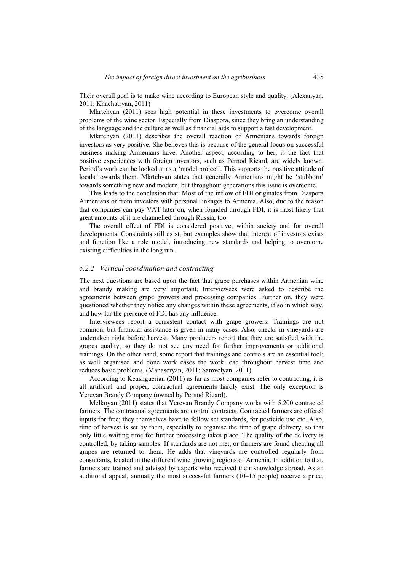Their overall goal is to make wine according to European style and quality. (Alexanyan, 2011; Khachatryan, 2011)

Mkrtchyan (2011) sees high potential in these investments to overcome overall problems of the wine sector. Especially from Diaspora, since they bring an understanding of the language and the culture as well as financial aids to support a fast development.

Mkrtchyan (2011) describes the overall reaction of Armenians towards foreign investors as very positive. She believes this is because of the general focus on successful business making Armenians have. Another aspect, according to her, is the fact that positive experiences with foreign investors, such as Pernod Ricard, are widely known. Period's work can be looked at as a 'model project'. This supports the positive attitude of locals towards them. Mkrtchyan states that generally Armenians might be 'stubborn' towards something new and modern, but throughout generations this issue is overcome.

This leads to the conclusion that: Most of the inflow of FDI originates from Diaspora Armenians or from investors with personal linkages to Armenia. Also, due to the reason that companies can pay VAT later on, when founded through FDI, it is most likely that great amounts of it are channelled through Russia, too.

The overall effect of FDI is considered positive, within society and for overall developments. Constraints still exist, but examples show that interest of investors exists and function like a role model, introducing new standards and helping to overcome existing difficulties in the long run.

#### *5.2.2 Vertical coordination and contracting*

The next questions are based upon the fact that grape purchases within Armenian wine and brandy making are very important. Interviewees were asked to describe the agreements between grape growers and processing companies. Further on, they were questioned whether they notice any changes within these agreements, if so in which way, and how far the presence of FDI has any influence.

Interviewees report a consistent contact with grape growers. Trainings are not common, but financial assistance is given in many cases. Also, checks in vineyards are undertaken right before harvest. Many producers report that they are satisfied with the grapes quality, so they do not see any need for further improvements or additional trainings. On the other hand, some report that trainings and controls are an essential tool; as well organised and done work eases the work load throughout harvest time and reduces basic problems. (Manaseryan, 2011; Samvelyan, 2011)

According to Keushguerian (2011) as far as most companies refer to contracting, it is all artificial and proper, contractual agreements hardly exist. The only exception is Yerevan Brandy Company (owned by Pernod Ricard).

Melkoyan (2011) states that Yerevan Brandy Company works with 5.200 contracted farmers. The contractual agreements are control contracts. Contracted farmers are offered inputs for free; they themselves have to follow set standards, for pesticide use etc. Also, time of harvest is set by them, especially to organise the time of grape delivery, so that only little waiting time for further processing takes place. The quality of the delivery is controlled, by taking samples. If standards are not met, or farmers are found cheating all grapes are returned to them. He adds that vineyards are controlled regularly from consultants, located in the different wine growing regions of Armenia. In addition to that, farmers are trained and advised by experts who received their knowledge abroad. As an additional appeal, annually the most successful farmers (10–15 people) receive a price,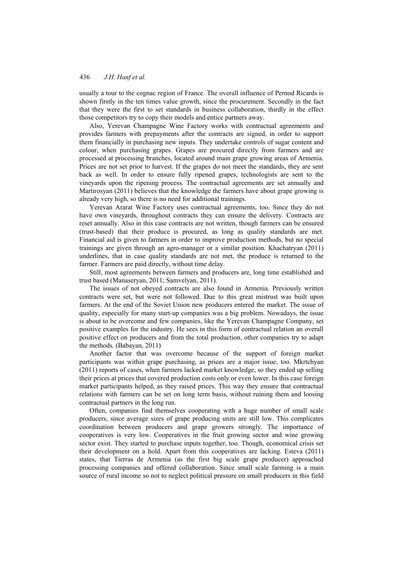usually a tour to the cognac region of France. The overall influence of Pernod Ricards is shown firstly in the ten times value growth, since the procurement. Secondly in the fact that they were the first to set standards in business collaboration, thirdly in the effect those competitors try to copy their models and entice partners away.

Also, Yerevan Champagne Wine Factory works with contractual agreements and provides farmers with prepayments after the contracts are signed, in order to support them financially in purchasing new inputs. They undertake controls of sugar content and colour, when purchasing grapes. Grapes are procured directly from farmers and are processed at processing branches, located around main grape growing areas of Armenia. Prices are not set prior to harvest. If the grapes do not meet the standards, they are sent back as well. In order to ensure fully ripened grapes, technologists are sent to the vineyards upon the ripening process. The contractual agreements are set annually and Martirosyan (2011) believes that the knowledge the farmers have about grape growing is already very high, so there is no need for additional trainings.

Yerevan Ararat Wine Factory uses contractual agreements, too. Since they do not have own vineyards, throughout contracts they can ensure the delivery. Contracts are reset annually. Also in this case contracts are not written, though farmers can be ensured (trust-based) that their produce is procured, as long as quality standards are met. Financial aid is given to farmers in order to improve production methods, but no special trainings are given through an agro-manager or a similar position. Khachatryan (2011) underlines, that in case quality standards are not met, the produce is returned to the farmer. Farmers are paid directly, without time delay.

Still, most agreements between farmers and producers are, long time established and trust based (Manaseryan, 2011; Samvelyan, 2011).

The issues of not obeyed contracts are also found in Armenia. Previously written contracts were set, but were not followed. Due to this great mistrust was built upon farmers. At the end of the Soviet Union new producers entered the market. The issue of quality, especially for many start-up companies was a big problem. Nowadays, the issue is about to be overcome and few companies, like the Yerevan Champagne Company, set positive examples for the industry. He sees in this form of contractual relation an overall positive effect on producers and from the total production, other companies try to adapt the methods. (Babayan, 2011)

Another factor that was overcome because of the support of foreign market participants was within grape purchasing, as prices are a major issue, too. Mkrtchyan (2011) reports of cases, when farmers lacked market knowledge, so they ended up selling their prices at prices that covered production costs only or even lower. In this case foreign market participants helped, as they raised prices. This way they ensure that contractual relations with farmers can be set on long term basis, without ruining them and loosing contractual partners in the long run.

Often, companies find themselves cooperating with a huge number of small scale producers, since average sizes of grape producing units are still low. This complicates coordination between producers and grape growers strongly. The importance of cooperatives is very low. Cooperatives in the fruit growing sector and wine growing sector exist. They started to purchase inputs together, too. Though, economical crisis set their development on a hold. Apart from this cooperatives are lacking. Esteva (2011) states, that Tierras de Armenia (as the first big scale grape producer) approached processing companies and offered collaboration. Since small scale farming is a main source of rural income so not to neglect political pressure on small producers in this field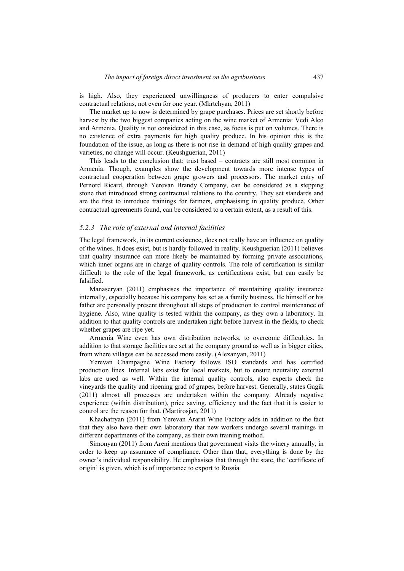is high. Also, they experienced unwillingness of producers to enter compulsive contractual relations, not even for one year. (Mkrtchyan, 2011)

The market up to now is determined by grape purchases. Prices are set shortly before harvest by the two biggest companies acting on the wine market of Armenia: Vedi Alco and Armenia. Quality is not considered in this case, as focus is put on volumes. There is no existence of extra payments for high quality produce. In his opinion this is the foundation of the issue, as long as there is not rise in demand of high quality grapes and varieties, no change will occur. (Keushguerian, 2011)

This leads to the conclusion that: trust based – contracts are still most common in Armenia. Though, examples show the development towards more intense types of contractual cooperation between grape growers and processors. The market entry of Pernord Ricard, through Yerevan Brandy Company, can be considered as a stepping stone that introduced strong contractual relations to the country. They set standards and are the first to introduce trainings for farmers, emphasising in quality produce. Other contractual agreements found, can be considered to a certain extent, as a result of this.

#### *5.2.3 The role of external and internal facilities*

The legal framework, in its current existence, does not really have an influence on quality of the wines. It does exist, but is hardly followed in reality. Keushguerian (2011) believes that quality insurance can more likely be maintained by forming private associations, which inner organs are in charge of quality controls. The role of certification is similar difficult to the role of the legal framework, as certifications exist, but can easily be falsified.

Manaseryan (2011) emphasises the importance of maintaining quality insurance internally, especially because his company has set as a family business. He himself or his father are personally present throughout all steps of production to control maintenance of hygiene. Also, wine quality is tested within the company, as they own a laboratory. In addition to that quality controls are undertaken right before harvest in the fields, to check whether grapes are ripe yet.

Armenia Wine even has own distribution networks, to overcome difficulties. In addition to that storage facilities are set at the company ground as well as in bigger cities, from where villages can be accessed more easily. (Alexanyan, 2011)

Yerevan Champagne Wine Factory follows ISO standards and has certified production lines. Internal labs exist for local markets, but to ensure neutrality external labs are used as well. Within the internal quality controls, also experts check the vineyards the quality and ripening grad of grapes, before harvest. Generally, states Gagik (2011) almost all processes are undertaken within the company. Already negative experience (within distribution), price saving, efficiency and the fact that it is easier to control are the reason for that. (Martirosjan, 2011)

Khachatryan (2011) from Yerevan Ararat Wine Factory adds in addition to the fact that they also have their own laboratory that new workers undergo several trainings in different departments of the company, as their own training method.

Simonyan (2011) from Areni mentions that government visits the winery annually, in order to keep up assurance of compliance. Other than that, everything is done by the owner's individual responsibility. He emphasises that through the state, the 'certificate of origin' is given, which is of importance to export to Russia.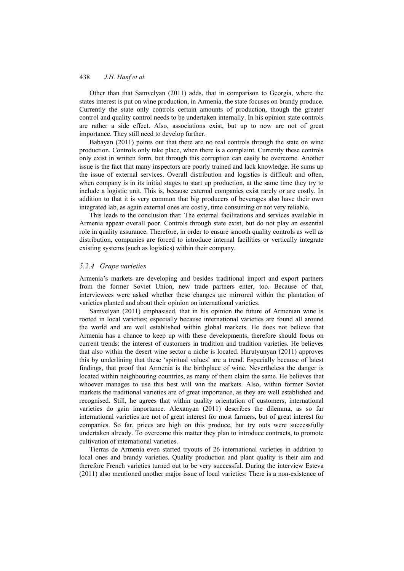Other than that Samvelyan (2011) adds, that in comparison to Georgia, where the states interest is put on wine production, in Armenia, the state focuses on brandy produce. Currently the state only controls certain amounts of production, though the greater control and quality control needs to be undertaken internally. In his opinion state controls are rather a side effect. Also, associations exist, but up to now are not of great importance. They still need to develop further.

Babayan (2011) points out that there are no real controls through the state on wine production. Controls only take place, when there is a complaint. Currently these controls only exist in written form, but through this corruption can easily be overcome. Another issue is the fact that many inspectors are poorly trained and lack knowledge. He sums up the issue of external services. Overall distribution and logistics is difficult and often, when company is in its initial stages to start up production, at the same time they try to include a logistic unit. This is, because external companies exist rarely or are costly. In addition to that it is very common that big producers of beverages also have their own integrated lab, as again external ones are costly, time consuming or not very reliable.

This leads to the conclusion that: The external facilitations and services available in Armenia appear overall poor. Controls through state exist, but do not play an essential role in quality assurance. Therefore, in order to ensure smooth quality controls as well as distribution, companies are forced to introduce internal facilities or vertically integrate existing systems (such as logistics) within their company.

#### *5.2.4 Grape varieties*

Armenia's markets are developing and besides traditional import and export partners from the former Soviet Union, new trade partners enter, too. Because of that, interviewees were asked whether these changes are mirrored within the plantation of varieties planted and about their opinion on international varieties.

Samvelyan (2011) emphasised, that in his opinion the future of Armenian wine is rooted in local varieties; especially because international varieties are found all around the world and are well established within global markets. He does not believe that Armenia has a chance to keep up with these developments, therefore should focus on current trends: the interest of customers in tradition and tradition varieties. He believes that also within the desert wine sector a niche is located. Harutyunyan (2011) approves this by underlining that these 'spiritual values' are a trend. Especially because of latest findings, that proof that Armenia is the birthplace of wine. Nevertheless the danger is located within neighbouring countries, as many of them claim the same. He believes that whoever manages to use this best will win the markets. Also, within former Soviet markets the traditional varieties are of great importance, as they are well established and recognised. Still, he agrees that within quality orientation of customers, international varieties do gain importance. Alexanyan (2011) describes the dilemma, as so far international varieties are not of great interest for most farmers, but of great interest for companies. So far, prices are high on this produce, but try outs were successfully undertaken already. To overcome this matter they plan to introduce contracts, to promote cultivation of international varieties.

Tierras de Armenia even started tryouts of 26 international varieties in addition to local ones and brandy varieties. Quality production and plant quality is their aim and therefore French varieties turned out to be very successful. During the interview Esteva (2011) also mentioned another major issue of local varieties: There is a non-existence of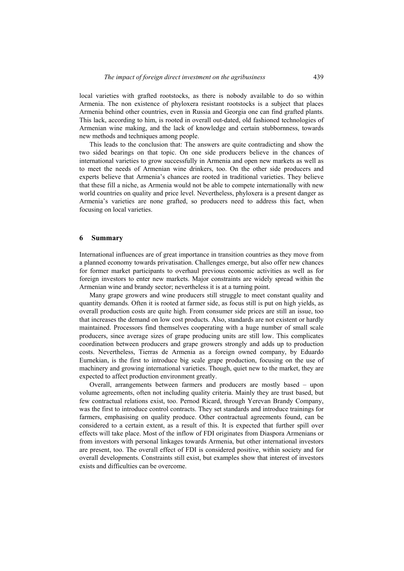local varieties with grafted rootstocks, as there is nobody available to do so within Armenia. The non existence of phyloxera resistant rootstocks is a subject that places Armenia behind other countries, even in Russia and Georgia one can find grafted plants. This lack, according to him, is rooted in overall out-dated, old fashioned technologies of Armenian wine making, and the lack of knowledge and certain stubbornness, towards new methods and techniques among people.

This leads to the conclusion that: The answers are quite contradicting and show the two sided bearings on that topic. On one side producers believe in the chances of international varieties to grow successfully in Armenia and open new markets as well as to meet the needs of Armenian wine drinkers, too. On the other side producers and experts believe that Armenia's chances are rooted in traditional varieties. They believe that these fill a niche, as Armenia would not be able to compete internationally with new world countries on quality and price level. Nevertheless, phyloxera is a present danger as Armenia's varieties are none grafted, so producers need to address this fact, when focusing on local varieties.

#### **6 Summary**

International influences are of great importance in transition countries as they move from a planned economy towards privatisation. Challenges emerge, but also offer new chances for former market participants to overhaul previous economic activities as well as for foreign investors to enter new markets. Major constraints are widely spread within the Armenian wine and brandy sector; nevertheless it is at a turning point.

Many grape growers and wine producers still struggle to meet constant quality and quantity demands. Often it is rooted at farmer side, as focus still is put on high yields, as overall production costs are quite high. From consumer side prices are still an issue, too that increases the demand on low cost products. Also, standards are not existent or hardly maintained. Processors find themselves cooperating with a huge number of small scale producers, since average sizes of grape producing units are still low. This complicates coordination between producers and grape growers strongly and adds up to production costs. Nevertheless, Tierras de Armenia as a foreign owned company, by Eduardo Eurnekian, is the first to introduce big scale grape production, focusing on the use of machinery and growing international varieties. Though, quiet new to the market, they are expected to affect production environment greatly.

Overall, arrangements between farmers and producers are mostly based – upon volume agreements, often not including quality criteria. Mainly they are trust based, but few contractual relations exist, too. Pernod Ricard, through Yerevan Brandy Company, was the first to introduce control contracts. They set standards and introduce trainings for farmers, emphasising on quality produce. Other contractual agreements found, can be considered to a certain extent, as a result of this. It is expected that further spill over effects will take place. Most of the inflow of FDI originates from Diaspora Armenians or from investors with personal linkages towards Armenia, but other international investors are present, too. The overall effect of FDI is considered positive, within society and for overall developments. Constraints still exist, but examples show that interest of investors exists and difficulties can be overcome.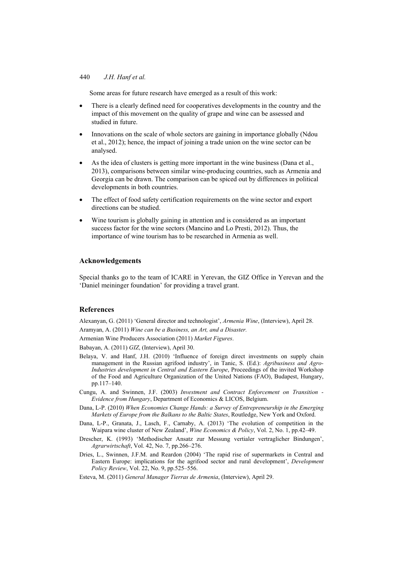Some areas for future research have emerged as a result of this work:

- There is a clearly defined need for cooperatives developments in the country and the impact of this movement on the quality of grape and wine can be assessed and studied in future.
- Innovations on the scale of whole sectors are gaining in importance globally (Ndou et al., 2012); hence, the impact of joining a trade union on the wine sector can be analysed.
- As the idea of clusters is getting more important in the wine business (Dana et al., 2013), comparisons between similar wine-producing countries, such as Armenia and Georgia can be drawn. The comparison can be spiced out by differences in political developments in both countries.
- The effect of food safety certification requirements on the wine sector and export directions can be studied.
- Wine tourism is globally gaining in attention and is considered as an important success factor for the wine sectors (Mancino and Lo Presti, 2012). Thus, the importance of wine tourism has to be researched in Armenia as well.

#### **Acknowledgements**

Special thanks go to the team of ICARE in Yerevan, the GIZ Office in Yerevan and the 'Daniel meininger foundation' for providing a travel grant.

#### **References**

Alexanyan, G. (2011) 'General director and technologist', *Armenia Wine*, (Interview), April 28.

Aramyan, A. (2011) *Wine can be a Business, an Art, and a Disaster.*

Armenian Wine Producers Association (2011) *Market Figures*.

Babayan, A. (2011) *GIZ*, (Interview), April 30.

- Belaya, V. and Hanf, J.H. (2010) 'Influence of foreign direct investments on supply chain management in the Russian agrifood industry', in Tanic, S. (Ed.): *Agribusiness and Agro-Industries development in Central and Eastern Europe*, Proceedings of the invited Workshop of the Food and Agriculture Organization of the United Nations (FAO), Budapest, Hungary, pp.117–140.
- Cungu, A. and Swinnen, J.F. (2003) *Investment and Contract Enforcement on Transition Evidence from Hungary*, Department of Economics & LICOS, Belgium.
- Dana, L-P. (2010) *When Economies Change Hands: a Survey of Entrepreneurship in the Emerging Markets of Europe from the Balkans to the Baltic States*, Routledge, New York and Oxford.
- Dana, L-P., Granata, J., Lasch, F., Carnaby, A. (2013) 'The evolution of competition in the Waipara wine cluster of New Zealand', *Wine Economics & Policy*, Vol. 2, No. 1, pp.42–49.
- Drescher, K. (1993) 'Methodischer Ansatz zur Messung vertialer vertraglicher Bindungen', *Agrarwirtschaft*, Vol. 42, No. 7, pp.266–276.
- Dries, L., Swinnen, J.F.M. and Reardon (2004) 'The rapid rise of supermarkets in Central and Eastern Europe: implications for the agrifood sector and rural development', *Development Policy Review*, Vol. 22, No. 9, pp.525–556.
- Esteva, M. (2011) *General Manager Tierras de Armenia*, (Interview), April 29.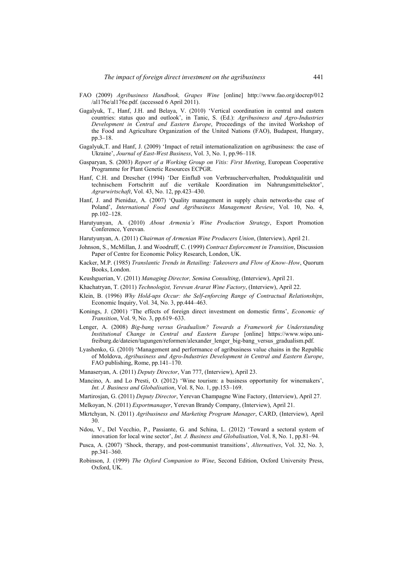- FAO (2009) *Agribusiness Handbook, Grapes Wine* [online] http://www.fao.org/docrep/012 /al176e/al176e.pdf. (accessed 6 April 2011).
- Gagalyuk, T., Hanf, J.H. and Belaya, V. (2010) 'Vertical coordination in central and eastern countries: status quo and outlook', in Tanic, S. (Ed.): *Agribusiness and Agro-Industries Development in Central and Eastern Europe*, Proceedings of the invited Workshop of the Food and Agriculture Organization of the United Nations (FAO), Budapest, Hungary, pp.3–18.
- Gagalyuk,T. and Hanf, J. (2009) 'Impact of retail internationalization on agribusiness: the case of Ukraine', *Journal of East-West Business*, Vol. 3, No. 1, pp.96–118.
- Gasparyan, S. (2003) *Report of a Working Group on Vitis: First Meeting*, European Cooperative Programme for Plant Genetic Resources ECPGR.
- Hanf, C.H. and Drescher (1994) 'Der Einfluß von Verbraucherverhalten, Produktqualität und technischem Fortschritt auf die vertikale Koordination im Nahrungsmittelsektor', *Agrarwirtschaft*, Vol. 43, No. 12, pp.423–430.
- Hanf, J. and Pienidaz, A. (2007) 'Quality management in supply chain networks-the case of Poland', *International Food and Agribusiness Management Review*, Vol. 10, No. 4, pp.102–128.
- Harutyunyan, A. (2010) *About Armenia's Wine Production Strategy*, Export Promotion Conference, Yerevan.
- Harutyunyan, A. (2011) *Chairman of Armenian Wine Producers Union*, (Interview), April 21.
- Johnson, S., McMillan, J. and Woodruff, C. (1999) *Contract Enforcement in Transition*, Discussion Paper of Centre for Economic Policy Research, London, UK.
- Kacker, M.P. (1985) *Translantic Trends in Retailing: Takeovers and Flow of Know–How*, Quorum Books, London.
- Keushguerian, V. (2011) *Managing Director, Semina Consulting*, (Interview), April 21.
- Khachatryan, T. (2011) *Technologist, Yerevan Ararat Wine Factory*, (Interview), April 22.
- Klein, B. (1996) *Why Hold-ups Occur: the Self-enforcing Range of Contractual Relationships*, Economic Inquiry, Vol. 34, No. 3, pp.444–463.
- Konings, J. (2001) 'The effects of foreign direct investment on domestic firms', *Economic of Transition*, Vol. 9, No. 3, pp.619–633.
- Lenger, A. (2008) *Big-bang versus Gradualism? Towards a Framework for Understanding Institutional Change in Central and Eastern Europe* [online] https://www.wipo.unifreiburg.de/dateien/tagungen/reformen/alexander\_lenger\_big-bang\_versus\_gradualism.pdf.
- Lyashenko, G. (2010) 'Management and performance of agribusiness value chains in the Republic of Moldova, *Agribusiness and Agro-Industries Development in Central and Eastern Europe*, FAO publishing, Rome, pp.141–170.
- Manaseryan, A. (2011) *Deputy Director*, Van 777, (Interview), April 23.
- Mancino, A. and Lo Presti, O. (2012) 'Wine tourism: a business opportunity for winemakers', *Int. J. Business and Globalisation*, Vol. 8, No. 1, pp.153–169.
- Martirosjan, G. (2011) *Deputy Director*, Yerevan Champagne Wine Factory, (Interview), April 27.
- Melkoyan, N. (2011) *Exportmanager*, Yerevan Brandy Company, (Interview), April 21.
- Mkrtchyan, N. (2011) *Agribusiness and Marketing Program Manager*, CARD, (Interview), April 30.
- Ndou, V., Del Vecchio, P., Passiante, G. and Schina, L. (2012) 'Toward a sectoral system of innovation for local wine sector', *Int. J. Business and Globalisation*, Vol. 8, No. 1, pp.81–94.
- Pusca, A. (2007) 'Shock, therapy, and post-communist transitions', *Alternatives*, Vol. 32, No. 3, pp.341–360.
- Robinson, J. (1999) *The Oxford Companion to Wine*, Second Edition, Oxford University Press, Oxford, UK.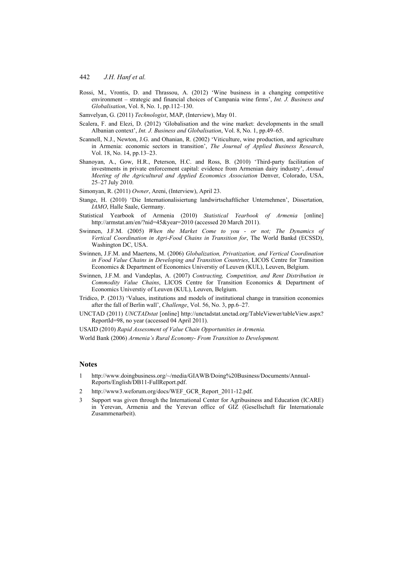- Rossi, M., Vrontis, D. and Thrassou, A. (2012) 'Wine business in a changing competitive environment – strategic and financial choices of Campania wine firms', *Int. J. Business and Globalisation*, Vol. 8, No. 1, pp.112–130.
- Samvelyan, G. (2011) *Technologist*, MAP, (Interview), May 01.
- Scalera, F. and Elezi, D. (2012) 'Globalisation and the wine market: developments in the small Albanian context', *Int. J. Business and Globalisation*, Vol. 8, No. 1, pp.49–65.
- Scannell, N.J., Newton, J.G. and Ohanian, R. (2002) 'Viticulture, wine production, and agriculture in Armenia: economic sectors in transition', *The Journal of Applied Business Research*, Vol. 18, No. 14, pp.13–23.
- Shanoyan, A., Gow, H.R., Peterson, H.C. and Ross, B. (2010) 'Third-party facilitation of investments in private enforcement capital: evidence from Armenian dairy industry', *Annual Meeting of the Agricultural and Applied Economics Association* Denver, Colorado, USA, 25–27 July 2010.
- Simonyan, R. (2011) *Owner*, Areni, (Interview), April 23.
- Stange, H. (2010) 'Die Internationalisiertung landwirtschaftlicher Unternehmen', Dissertation, *IAMO*, Halle Saale, Germany.
- Statistical Yearbook of Armenia (2010) *Statistical Yearbook of Armenia* [online] http://armstat.am/en/?nid=45&year=2010 (accessed 20 March 2011).
- Swinnen, J.F.M. (2005) *When the Market Come to you or not; The Dynamics of Vertical Coordination in Agri-Food Chains in Transition for*, The World Bankd (ECSSD), Washington DC, USA.
- Swinnen, J.F.M. and Maertens, M. (2006) *Globalization, Privatization, and Vertical Coordination in Food Value Chains in Developing and Transition Countries*, LICOS Centre for Transition Economics & Department of Economics Universtiy of Leuven (KUL), Leuven, Belgium.
- Swinnen, J.F.M. and Vandeplas, A. (2007) *Contracting, Competition, and Rent Distribution in Commodity Value Chains*, LICOS Centre for Transition Economics & Department of Economics Universtiy of Leuven (KUL), Leuven, Belgium.
- Tridico, P. (2013) 'Values, institutions and models of institutional change in transition economies after the fall of Berlin wall', *Challenge*, Vol. 56, No. 3, pp.6–27.
- UNCTAD (2011) *UNCTADstat* [online] http://unctadstat.unctad.org/TableViewer/tableView.aspx? ReportId=98, no year (accessed 04 April 2011).

USAID (2010) *Rapid Assessment of Value Chain Opportunities in Armenia.*

World Bank (2006) *Armenia's Rural Economy- From Transition to Development.* 

#### **Notes**

- 1 http://www.doingbusiness.org/~/media/GIAWB/Doing%20Business/Documents/Annual-Reports/English/DB11-FullReport.pdf.
- 2 http://www3.weforum.org/docs/WEF\_GCR\_Report\_2011-12.pdf.
- 3 Support was given through the International Center for Agribusiness and Education (ICARE) in Yerevan, Armenia and the Yerevan office of GIZ (Gesellschaft für Internationale Zusammenarbeit).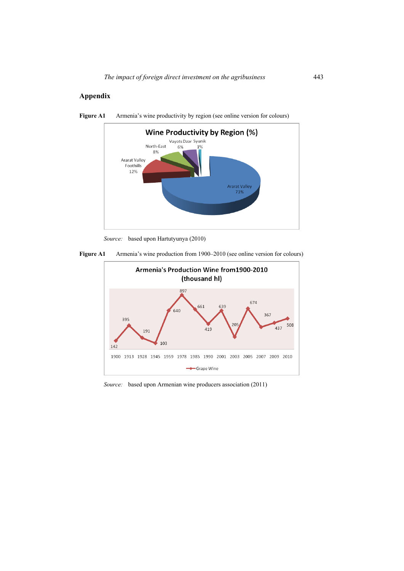## **Appendix**



**Figure A1** Armenia's wine productivity by region (see online version for colours)

*Source:* based upon Hartutyunya (2010)





*Source:* based upon Armenian wine producers association (2011)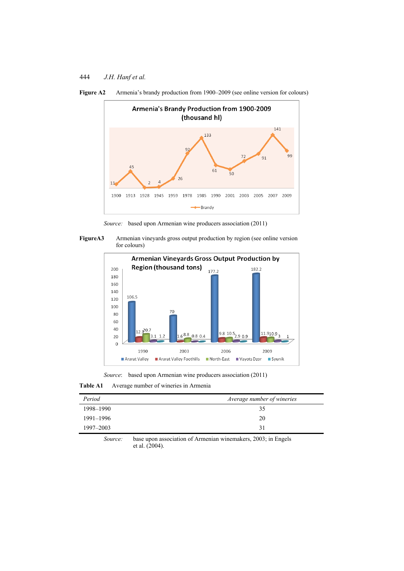



*Source:* based upon Armenian wine producers association (2011)





*Source*: based upon Armenian wine producers association (2011)

**Table A1** Average number of wineries in Armenia

| Period    | Average number of wineries |
|-----------|----------------------------|
| 1998-1990 | 35                         |
| 1991-1996 | 20                         |
| 1997–2003 | 31                         |

*Source:* base upon association of Armenian winemakers, 2003; in Engels et al. (2004).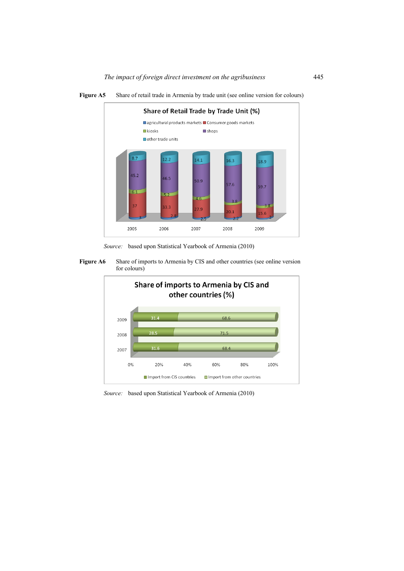

Figure A5 Share of retail trade in Armenia by trade unit (see online version for colours)

*Source:* based upon Statistical Yearbook of Armenia (2010)

Figure A6 Share of imports to Armenia by CIS and other countries (see online version for colours)



*Source:* based upon Statistical Yearbook of Armenia (2010)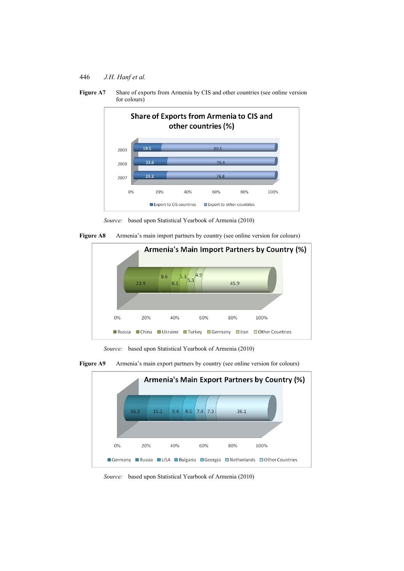446 *J.H. Hanf et al.* 



Figure A7 Share of exports from Armenia by CIS and other countries (see online version for colours)







*Source:* based upon Statistical Yearbook of Armenia (2010)





*Source:* based upon Statistical Yearbook of Armenia (2010)